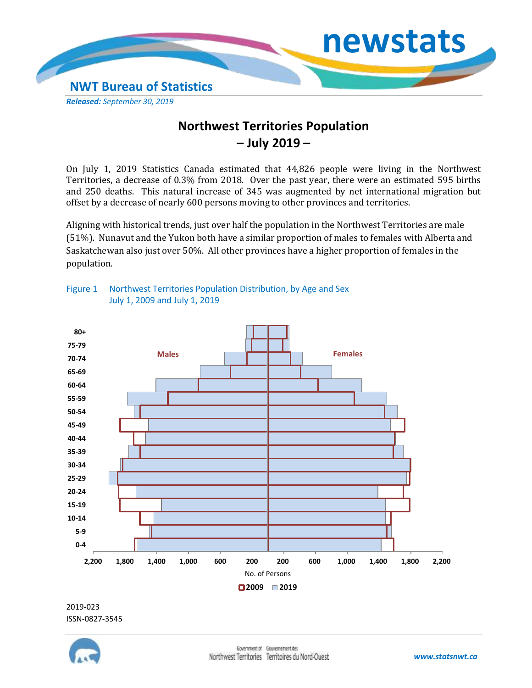

## **Northwest Territories Population – July 2019 –**

On July 1, 2019 Statistics Canada estimated that 44,826 people were living in the Northwest Territories, a decrease of 0.3% from 2018. Over the past year, there were an estimated 595 births and 250 deaths. This natural increase of 345 was augmented by net international migration but offset by a decrease of nearly 600 persons moving to other provinces and territories.

Aligning with historical trends, just over half the population in the Northwest Territories are male (51%). Nunavut and the Yukon both have a similar proportion of males to females with Alberta and Saskatchewan also just over 50%. All other provinces have a higher proportion of females in the population.



Figure 1 Northwest Territories Population Distribution, by Age and Sex July 1, 2009 and July 1, 2019

## 2019-023 ISSN-0827-3545